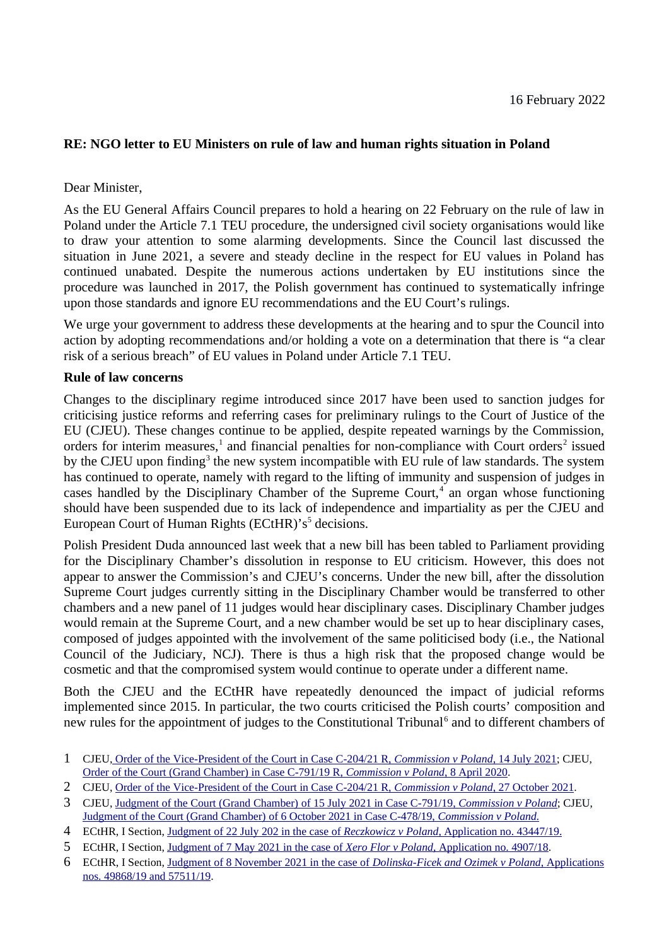#### **RE: NGO letter to EU Ministers on rule of law and human rights situation in Poland**

Dear Minister,

As the EU General Affairs Council prepares to hold a hearing on 22 February on the rule of law in Poland under the Article 7.1 TEU procedure, the undersigned civil society organisations would like to draw your attention to some alarming developments. Since the Council last discussed the situation in June 2021, a severe and steady decline in the respect for EU values in Poland has continued unabated. Despite the numerous actions undertaken by EU institutions since the procedure was launched in 2017, the Polish government has continued to systematically infringe upon those standards and ignore EU recommendations and the EU Court's rulings.

We urge your government to address these developments at the hearing and to spur the Council into action by adopting recommendations and/or holding a vote on a determination that there is "a clear risk of a serious breach" of EU values in Poland under Article 7.1 TEU.

#### **Rule of law concerns**

<span id="page-0-4"></span><span id="page-0-2"></span><span id="page-0-0"></span>Changes to the disciplinary regime introduced since 2017 have been used to sanction judges for criticising justice reforms and referring cases for preliminary rulings to the Court of Justice of the EU (CJEU). These changes continue to be applied, despite repeated warnings by the Commission, orders for interim measures, $1$  and financial penalties for non-compliance with Court orders<sup>[2](#page-0-3)</sup> issued by the CJEU upon finding<sup>[3](#page-0-5)</sup> the new system incompatible with EU rule of law standards. The system has continued to operate, namely with regard to the lifting of immunity and suspension of judges in cases handled by the Disciplinary Chamber of the Supreme Court, $4$  an organ whose functioning should have been suspended due to its lack of independence and impartiality as per the CJEU and European Court of Human Rights (ECtHR)'s<sup>[5](#page-0-9)</sup> decisions.

<span id="page-0-8"></span><span id="page-0-6"></span>Polish President Duda announced last week that a new bill has been tabled to Parliament providing for the Disciplinary Chamber's dissolution in response to EU criticism. However, this does not appear to answer the Commission's and CJEU's concerns. Under the new bill, after the dissolution Supreme Court judges currently sitting in the Disciplinary Chamber would be transferred to other chambers and a new panel of 11 judges would hear disciplinary cases. Disciplinary Chamber judges would remain at the Supreme Court, and a new chamber would be set up to hear disciplinary cases, composed of judges appointed with the involvement of the same politicised body (i.e., the National Council of the Judiciary, NCJ). There is thus a high risk that the proposed change would be cosmetic and that the compromised system would continue to operate under a different name.

<span id="page-0-10"></span>Both the CJEU and the ECtHR have repeatedly denounced the impact of judicial reforms implemented since 2015. In particular, the two courts criticised the Polish courts' composition and new rules for the appointment of judges to the Constitutional  $\operatorname{Tribunal}^6$  $\operatorname{Tribunal}^6$  and to different chambers of

<span id="page-0-1"></span>[<sup>1</sup>](#page-0-0) CJEU, Order of the Vice-President of the Court in Case C-204/21 R, *Commission v Poland* , 14 July 2021; CJEU, Order of the Court (Grand Chamber) in Case C-791/19 R, *Commission v Poland* , 8 April 2020.

<span id="page-0-3"></span>[<sup>2</sup>](#page-0-2) CJEU, Order of the Vice-President of the Court in Case C-204/21 R, *Commission v Poland*, 27 October 2021.

<span id="page-0-5"></span>[<sup>3</sup>](#page-0-4) CJEU, Judgment of the Court (Grand Chamber) of 15 July 2021 in Case C-791/19, *Commission v Poland*; CJEU, Judgment of the Court (Grand Chamber) of 6 October 2021 in Case C-478/19, *Commission v Poland.*

<span id="page-0-7"></span>[<sup>4</sup>](#page-0-6) ECtHR, I Section, Judgment of 22 July 202 in the case of *Reczkowicz v Poland* , Application no. 43447/19.

<span id="page-0-9"></span>[<sup>5</sup>](#page-0-8) ECtHR, I Section, Judgment of 7 May 2021 in the case of *Xero Flor v Poland* , Application no. 4907/18.

<span id="page-0-11"></span>[<sup>6</sup>](#page-0-10) ECtHR, I Section, Judgment of 8 November 2021 in the case of *Dolinska-Ficek and Ozimek v Poland,* Applications nos. 49868/19 and 57511/19.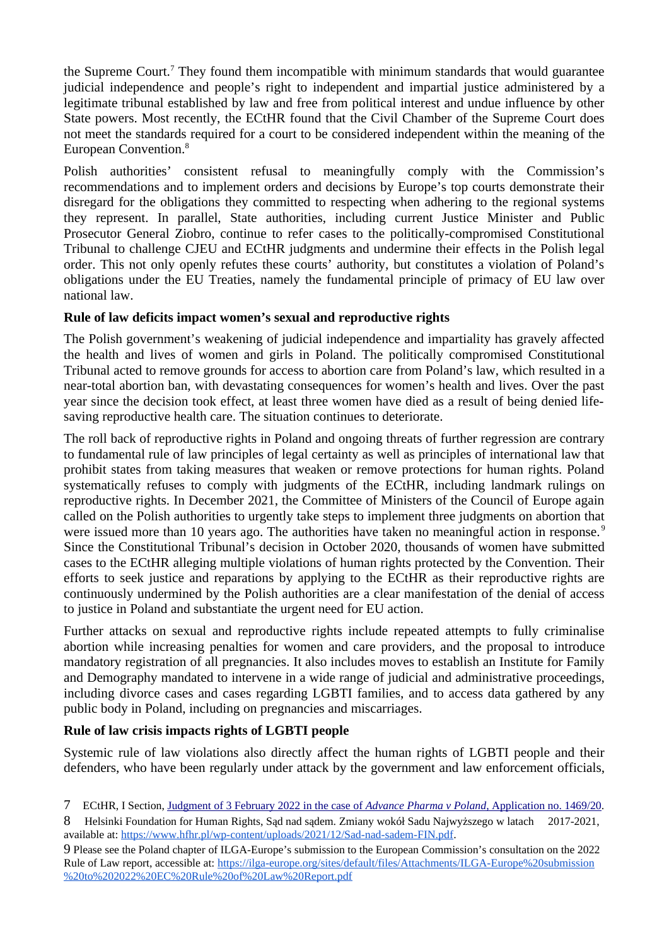<span id="page-1-0"></span>the Supreme Court.<sup>[7](#page-1-1)</sup> They found them incompatible with minimum standards that would guarantee judicial independence and people's right to independent and impartial justice administered by a legitimate tribunal established by law and free from political interest and undue influence by other State powers. Most recently, the ECtHR found that the Civil Chamber of the Supreme Court does not meet the standards required for a court to be considered independent within the meaning of the European Convention.<sup>[8](#page-1-3)</sup>

<span id="page-1-2"></span>Polish authorities' consistent refusal to meaningfully comply with the Commission's recommendations and to implement orders and decisions by Europe's top courts demonstrate their disregard for the obligations they committed to respecting when adhering to the regional systems they represent. In parallel, State authorities, including current Justice Minister and Public Prosecutor General Ziobro, continue to refer cases to the politically-compromised Constitutional Tribunal to challenge CJEU and ECtHR judgments and undermine their effects in the Polish legal order. This not only openly refutes these courts' authority, but constitutes a violation of Poland's obligations under the EU Treaties, namely the fundamental principle of primacy of EU law over national law.

## **Rule of law deficits impact women's sexual and reproductive rights**

The Polish government's weakening of judicial independence and impartiality has gravely affected the health and lives of women and girls in Poland. The politically compromised Constitutional Tribunal acted to remove grounds for access to abortion care from Poland's law, which resulted in a near-total abortion ban, with devastating consequences for women's health and lives. Over the past year since the decision took effect, at least three women have died as a result of being denied lifesaving reproductive health care. The situation continues to deteriorate.

<span id="page-1-4"></span>The roll back of reproductive rights in Poland and ongoing threats of further regression are contrary to fundamental rule of law principles of legal certainty as well as principles of international law that prohibit states from taking measures that weaken or remove protections for human rights. Poland systematically refuses to comply with judgments of the ECtHR, including landmark rulings on reproductive rights. In December 2021, the Committee of Ministers of the Council of Europe again called on the Polish authorities to urgently take steps to implement three judgments on abortion that were issued more than 10 years ago. The authorities have taken no meaningful action in response.<sup>[9](#page-1-5)</sup> Since the Constitutional Tribunal's decision in October 2020, thousands of women have submitted cases to the ECtHR alleging multiple violations of human rights protected by the Convention. Their efforts to seek justice and reparations by applying to the ECtHR as their reproductive rights are continuously undermined by the Polish authorities are a clear manifestation of the denial of access to justice in Poland and substantiate the urgent need for EU action.

Further attacks on sexual and reproductive rights include repeated attempts to fully criminalise abortion while increasing penalties for women and care providers, and the proposal to introduce mandatory registration of all pregnancies. It also includes moves to establish an Institute for Family and Demography mandated to intervene in a wide range of judicial and administrative proceedings, including divorce cases and cases regarding LGBTI families, and to access data gathered by any public body in Poland, including on pregnancies and miscarriages.

## **Rule of law crisis impacts rights of LGBTI people**

Systemic rule of law violations also directly affect the human rights of LGBTI people and their defenders, who have been regularly under attack by the government and law enforcement officials,

<span id="page-1-1"></span>[<sup>7</sup>](#page-1-0) ECtHR, I Section, Judgment of 3 February 2022 in the case of *Advance Pharma v Poland*, Application no. 1469/20.<br>8 Helsinki Foundation for Human Rights, Sad nad sadem. Zmiany wokół Sadu Najwyższego w latach 2017-2021.

<span id="page-1-3"></span>[<sup>8</sup>](#page-1-2) Helsinki Foundation for Human Rights, Sąd nad sądem. Zmiany wokół Sadu Najwyższego w latach 2017-2021, available at: https://www.hfhr.pl/wp-content/uploads/2021/12/Sad-nad-sadem-FIN.pdf.

<span id="page-1-5"></span>[<sup>9</sup>](#page-1-4) Please see the Poland chapter of ILGA-Europe's submission to the European Commission's consultation on the 2022 Rule of Law report, accessible at: https://ilga-europe.org/sites/default/files/Attachments/ILGA-Europe%20submission %20to%202022%20EC%20Rule%20of%20Law%20Report.pdf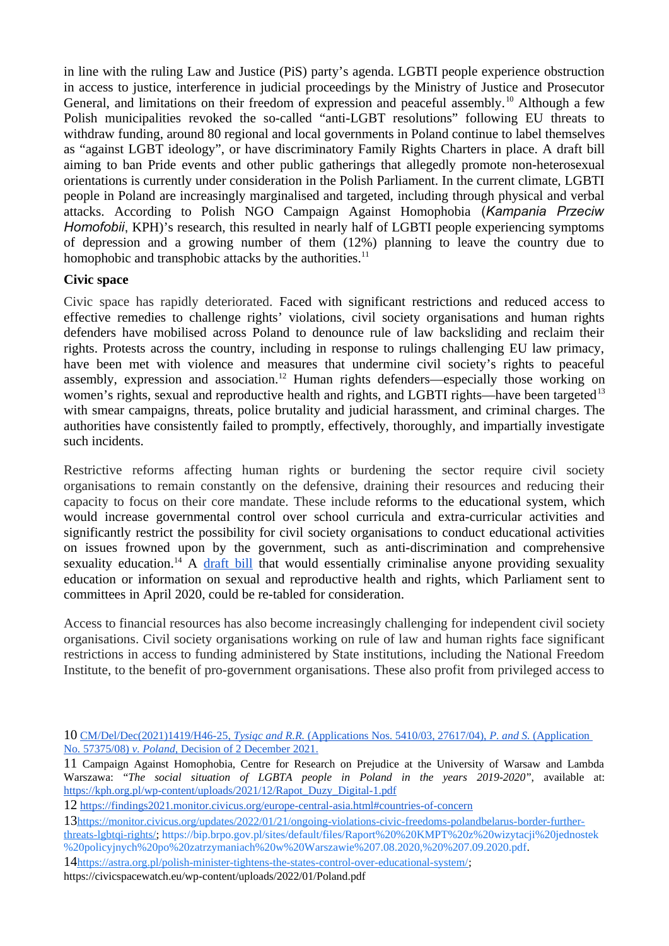<span id="page-2-0"></span>in line with the ruling Law and Justice (PiS) party's agenda. LGBTI people experience obstruction in access to justice, interference in judicial proceedings by the Ministry of Justice and Prosecutor General, and limitations on their freedom of expression and peaceful assembly.<sup>[10](#page-2-1)</sup> Although a few Polish municipalities revoked the so-called "anti-LGBT resolutions" following EU threats to withdraw funding, around 80 regional and local governments in Poland continue to label themselves as "against LGBT ideology", or have discriminatory Family Rights Charters in place. A draft bill aiming to ban Pride events and other public gatherings that allegedly promote non-heterosexual orientations is currently under consideration in the Polish Parliament. In the current climate, LGBTI people in Poland are increasingly marginalised and targeted, including through physical and verbal attacks. According to Polish NGO Campaign Against Homophobia (*Kampania Przeciw Homofobii*, KPH)'s research, this resulted in nearly half of LGBTI people experiencing symptoms of depression and a growing number of them (12%) planning to leave the country due to homophobic and transphobic attacks by the authorities.<sup>[11](#page-2-3)</sup>

## <span id="page-2-2"></span>**Civic space**

<span id="page-2-4"></span>Civic space has rapidly deteriorated. Faced with significant restrictions and reduced access to effective remedies to challenge rights' violations, civil society organisations and human rights defenders have mobilised across Poland to denounce rule of law backsliding and reclaim their rights. Protests across the country, including in response to rulings challenging EU law primacy, have been met with violence and measures that undermine civil society's rights to peaceful assembly, expression and association.<sup>[12](#page-2-5)</sup> Human rights defenders—especially those working on women's rights, sexual and reproductive health and rights, and LGBTI rights—have been targeted<sup>[13](#page-2-7)</sup> with smear campaigns, threats, police brutality and judicial harassment, and criminal charges. The authorities have consistently failed to promptly, effectively, thoroughly, and impartially investigate such incidents.

<span id="page-2-6"></span>Restrictive reforms affecting human rights or burdening the sector require civil society organisations to remain constantly on the defensive, draining their resources and reducing their capacity to focus on their core mandate. These include reforms to the educational system, which would increase governmental control over school curricula and extra-curricular activities and significantly restrict the possibility for civil society organisations to conduct educational activities on issues frowned upon by the government, such as anti-discrimination and comprehensive sexuality education.<sup>[14](#page-2-9)</sup> A draft bill that would essentially criminalise anyone providing sexuality education or information on sexual and reproductive health and rights, which Parliament sent to committees in April 2020, could be re-tabled for consideration.

<span id="page-2-8"></span>Access to financial resources has also become increasingly challenging for independent civil society organisations. Civil society organisations working on rule of law and human rights face significant restrictions in access to funding administered by State institutions, including the National Freedom Institute, to the benefit of pro-government organisations. These also profit from privileged access to

threats-lgbtqi-rights/; https://bip.brpo.gov.pl/sites/default/files/Raport%20%20KMPT%20z%20wizytacji%20jednostek %20policyjnych%20po%20zatrzymaniach%20w%20Warszawie%207.08.2020,%20%207.09.2020.pdf.

https://civicspacewatch.eu/wp-content/uploads/2022/01/Poland.pdf

<span id="page-2-1"></span>[<sup>10</sup>](#page-2-0) CM/Del/Dec(2021)1419/H46-25, *Tysiąc and R.R.* (Applications Nos. 5410/03, 27617/04), *P. and S.* (Application No. 57375/08) *v. Poland,* Decision of 2 December 2021.

<span id="page-2-3"></span>[<sup>11</sup>](#page-2-2) Campaign Against Homophobia, Centre for Research on Prejudice at the University of Warsaw and Lambda Warszawa: "*The social situation of LGBTA people in Poland in the years 2019-2020*", available at: https://kph.org.pl/wp-content/uploads/2021/12/Rapot\_Duzy\_Digital-1.pdf

<span id="page-2-5"></span>[<sup>12</sup>](#page-2-4) https://findings2021.monitor.civicus.org/europe-central-asia.html#countries-of-concern

<span id="page-2-7"></span>[<sup>13</sup>](#page-2-6) https://monitor.civicus.org/updates/2022/01/21/ongoing-violations-civic-freedoms-polandbelarus-border-further-

<span id="page-2-9"></span>[<sup>14</sup>](#page-2-8) https://astra.org.pl/polish-minister-tightens-the-states-control-over-educational-system/;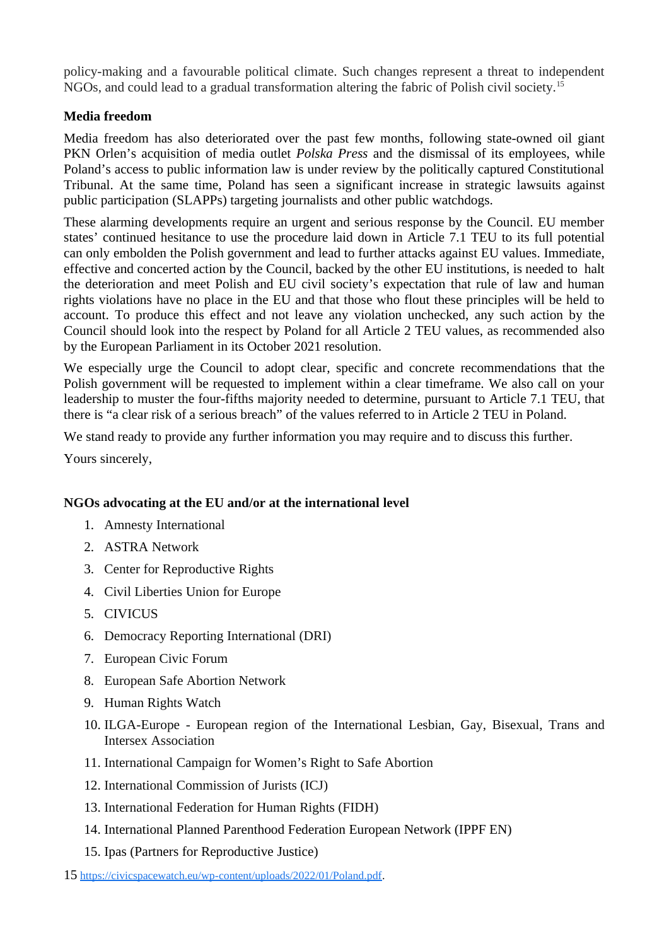<span id="page-3-0"></span>policy-making and a favourable political climate. Such changes represent a threat to independent NGOs, and could lead to a gradual transformation altering the fabric of Polish civil society.<sup>[15](#page-3-1)</sup>

#### **Media freedom**

Media freedom has also deteriorated over the past few months, following state-owned oil giant PKN Orlen's acquisition of media outlet *Polska Press* and the dismissal of its employees, while Poland's access to public information law is under review by the politically captured Constitutional Tribunal. At the same time, Poland has seen a significant increase in strategic lawsuits against public participation (SLAPPs) targeting journalists and other public watchdogs.

These alarming developments require an urgent and serious response by the Council. EU member states' continued hesitance to use the procedure laid down in Article 7.1 TEU to its full potential can only embolden the Polish government and lead to further attacks against EU values. Immediate, effective and concerted action by the Council, backed by the other EU institutions, is needed to halt the deterioration and meet Polish and EU civil society's expectation that rule of law and human rights violations have no place in the EU and that those who flout these principles will be held to account. To produce this effect and not leave any violation unchecked, any such action by the Council should look into the respect by Poland for all Article 2 TEU values, as recommended also by the European Parliament in its October 2021 resolution.

We especially urge the Council to adopt clear, specific and concrete recommendations that the Polish government will be requested to implement within a clear timeframe. We also call on your leadership to muster the four-fifths majority needed to determine, pursuant to Article 7.1 TEU, that there is "a clear risk of a serious breach" of the values referred to in Article 2 TEU in Poland.

We stand ready to provide any further information you may require and to discuss this further.

Yours sincerely,

## **NGOs advocating at the EU and/or at the international level**

- 1. Amnesty International
- 2. ASTRA Network
- 3. Center for Reproductive Rights
- 4. Civil Liberties Union for Europe
- 5. CIVICUS
- 6. Democracy Reporting International (DRI)
- 7. European Civic Forum
- 8. European Safe Abortion Network
- 9. Human Rights Watch
- 10. ILGA-Europe European region of the International Lesbian, Gay, Bisexual, Trans and Intersex Association
- 11. International Campaign for Women's Right to Safe Abortion
- 12. International Commission of Jurists (ICJ)
- 13. International Federation for Human Rights (FIDH)
- 14. International Planned Parenthood Federation European Network (IPPF EN)
- 15. Ipas (Partners for Reproductive Justice)
- <span id="page-3-1"></span>[15](#page-3-0) https://civicspacewatch.eu/wp-content/uploads/2022/01/Poland.pdf.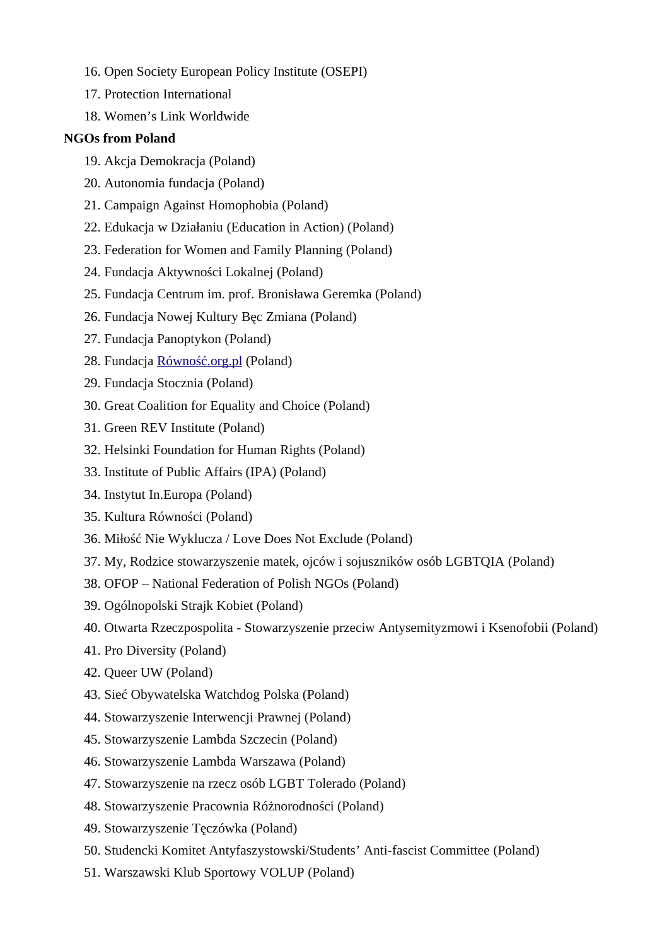- 16. Open Society European Policy Institute (OSEPI)
- 17. Protection International
- 18. Women's Link Worldwide

## **NGOs from Poland**

- 19. Akcja Demokracja (Poland)
- 20. Autonomia fundacja (Poland)
- 21. Campaign Against Homophobia (Poland)
- 22. Edukacja w Działaniu (Education in Action) (Poland)
- 23. Federation for Women and Family Planning (Poland)
- 24. Fundacja Aktywności Lokalnej (Poland)
- 25. Fundacja Centrum im. prof. Bronisława Geremka (Poland)
- 26. Fundacja Nowej Kultury Bęc Zmiana (Poland)
- 27. Fundacja Panoptykon (Poland)
- 28. Fundacja [Równość.org.pl](http://xn--rwno-qqa7j9y.org.pl/) (Poland)
- 29. Fundacja Stocznia (Poland)
- 30. Great Coalition for Equality and Choice (Poland)
- 31. Green REV Institute (Poland)
- 32. Helsinki Foundation for Human Rights (Poland)
- 33. Institute of Public Affairs (IPA) (Poland)
- 34. Instytut In.Europa (Poland)
- 35. Kultura Równości (Poland)
- 36. Miłość Nie Wyklucza / Love Does Not Exclude (Poland)
- 37. My, Rodzice stowarzyszenie matek, ojców i sojuszników osób LGBTQIA (Poland)
- 38. OFOP National Federation of Polish NGOs (Poland)
- 39. Ogólnopolski Strajk Kobiet (Poland)
- 40. Otwarta Rzeczpospolita Stowarzyszenie przeciw Antysemityzmowi i Ksenofobii (Poland)
- 41. Pro Diversity (Poland)
- 42. Queer UW (Poland)
- 43. Sieć Obywatelska Watchdog Polska (Poland)
- 44. Stowarzyszenie Interwencji Prawnej (Poland)
- 45. Stowarzyszenie Lambda Szczecin (Poland)
- 46. Stowarzyszenie Lambda Warszawa (Poland)
- 47. Stowarzyszenie na rzecz osób LGBT Tolerado (Poland)
- 48. Stowarzyszenie Pracownia Różnorodności (Poland)
- 49. Stowarzyszenie Tęczówka (Poland)
- 50. Studencki Komitet Antyfaszystowski/Students' Anti-fascist Committee (Poland)
- 51. Warszawski Klub Sportowy VOLUP (Poland)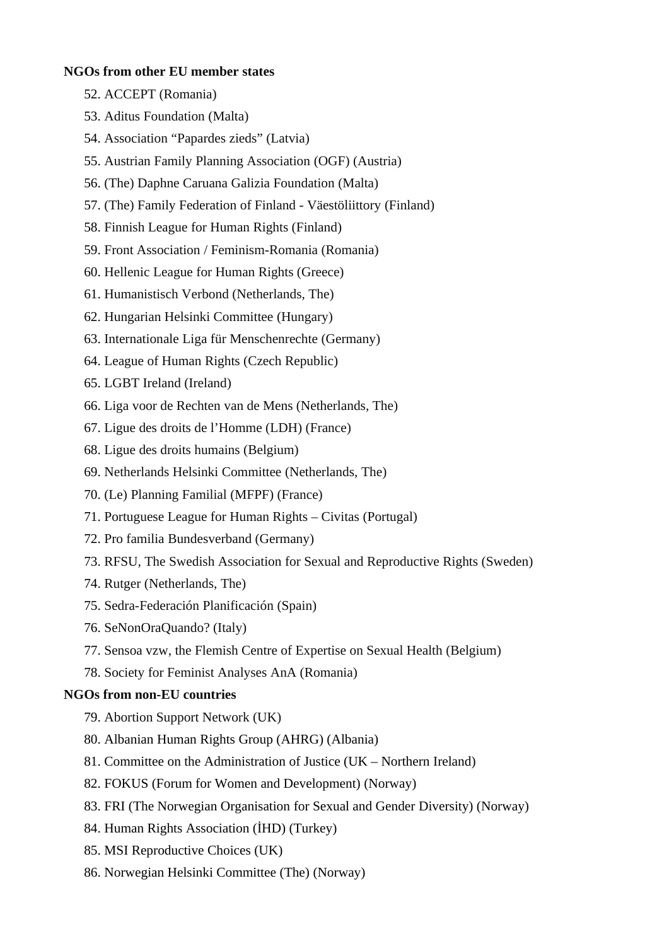#### **NGOs from other EU member states**

- 52. ACCEPT (Romania)
- 53. Aditus Foundation (Malta)
- 54. Association "Papardes zieds" (Latvia)
- 55. Austrian Family Planning Association (OGF) (Austria)
- 56. (The) Daphne Caruana Galizia Foundation (Malta)
- 57. (The) Family Federation of Finland Väestöliittory (Finland)
- 58. Finnish League for Human Rights (Finland)
- 59. Front Association / Feminism-Romania (Romania)
- 60. Hellenic League for Human Rights (Greece)
- 61. Humanistisch Verbond (Netherlands, The)
- 62. Hungarian Helsinki Committee (Hungary)
- 63. Internationale Liga für Menschenrechte (Germany)
- 64. League of Human Rights (Czech Republic)
- 65. LGBT Ireland (Ireland)
- 66. Liga voor de Rechten van de Mens (Netherlands, The)
- 67. Ligue des droits de l'Homme (LDH) (France)
- 68. Ligue des droits humains (Belgium)
- 69. Netherlands Helsinki Committee (Netherlands, The)
- 70. (Le) Planning Familial (MFPF) (France)
- 71. Portuguese League for Human Rights Civitas (Portugal)
- 72. Pro familia Bundesverband (Germany)
- 73. RFSU, The Swedish Association for Sexual and Reproductive Rights (Sweden)
- 74. Rutger (Netherlands, The)
- 75. Sedra-Federación Planificación (Spain)
- 76. SeNonOraQuando? (Italy)
- 77. Sensoa vzw, the Flemish Centre of Expertise on Sexual Health (Belgium)
- 78. Society for Feminist Analyses AnA (Romania)

## **NGOs from non-EU countries**

- 79. Abortion Support Network (UK)
- 80. Albanian Human Rights Group (AHRG) (Albania)
- 81. Committee on the Administration of Justice (UK Northern Ireland)
- 82. FOKUS (Forum for Women and Development) (Norway)
- 83. FRI (The Norwegian Organisation for Sexual and Gender Diversity) (Norway)
- 84. Human Rights Association (İHD) (Turkey)
- 85. MSI Reproductive Choices (UK)
- 86. Norwegian Helsinki Committee (The) (Norway)